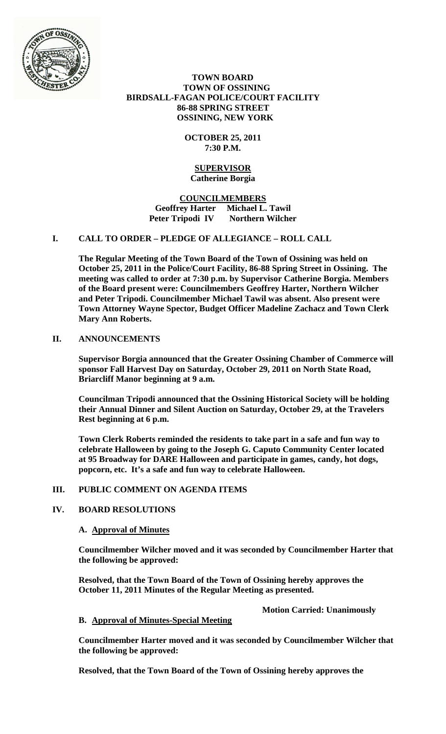

 **TOWN BOARD TOWN OF OSSINING BIRDSALL-FAGAN POLICE/COURT FACILITY 86-88 SPRING STREET OSSINING, NEW YORK**

> **OCTOBER 25, 2011 7:30 P.M.**

## **SUPERVISOR Catherine Borgia**

**COUNCILMEMBERS Geoffrey Harter Michael L. Tawil Peter Tripodi IV Northern Wilcher**

# **I. CALL TO ORDER – PLEDGE OF ALLEGIANCE – ROLL CALL**

**The Regular Meeting of the Town Board of the Town of Ossining was held on October 25, 2011 in the Police/Court Facility, 86-88 Spring Street in Ossining. The meeting was called to order at 7:30 p.m. by Supervisor Catherine Borgia. Members of the Board present were: Councilmembers Geoffrey Harter, Northern Wilcher and Peter Tripodi. Councilmember Michael Tawil was absent. Also present were Town Attorney Wayne Spector, Budget Officer Madeline Zachacz and Town Clerk Mary Ann Roberts.**

# **II. ANNOUNCEMENTS**

**Supervisor Borgia announced that the Greater Ossining Chamber of Commerce will sponsor Fall Harvest Day on Saturday, October 29, 2011 on North State Road, Briarcliff Manor beginning at 9 a.m.**

**Councilman Tripodi announced that the Ossining Historical Society will be holding their Annual Dinner and Silent Auction on Saturday, October 29, at the Travelers Rest beginning at 6 p.m.**

**Town Clerk Roberts reminded the residents to take part in a safe and fun way to celebrate Halloween by going to the Joseph G. Caputo Community Center located at 95 Broadway for DARE Halloween and participate in games, candy, hot dogs, popcorn, etc. It's a safe and fun way to celebrate Halloween.**

## **III. PUBLIC COMMENT ON AGENDA ITEMS**

## **IV. BOARD RESOLUTIONS**

### **A. Approval of Minutes**

**Councilmember Wilcher moved and it was seconded by Councilmember Harter that the following be approved:**

**Resolved, that the Town Board of the Town of Ossining hereby approves the October 11, 2011 Minutes of the Regular Meeting as presented.**

**Motion Carried: Unanimously**

**B. Approval of Minutes-Special Meeting**

**Councilmember Harter moved and it was seconded by Councilmember Wilcher that the following be approved:**

**Resolved, that the Town Board of the Town of Ossining hereby approves the**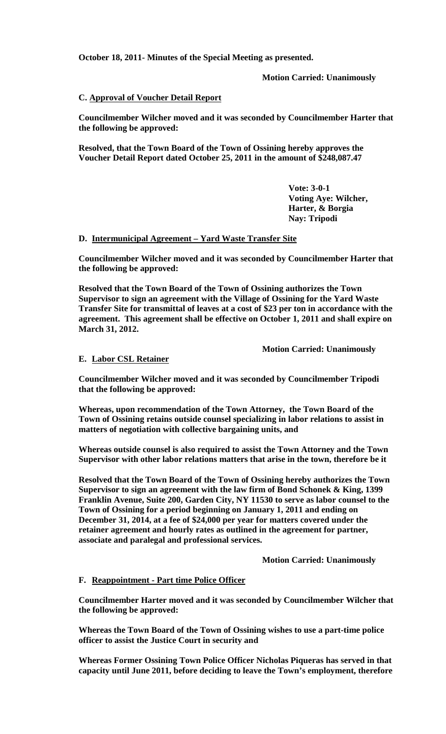**October 18, 2011- Minutes of the Special Meeting as presented.**

**Motion Carried: Unanimously**

# **C. Approval of Voucher Detail Report**

**Councilmember Wilcher moved and it was seconded by Councilmember Harter that the following be approved:**

**Resolved, that the Town Board of the Town of Ossining hereby approves the Voucher Detail Report dated October 25, 2011 in the amount of \$248,087.47**

> **Vote: 3-0-1 Voting Aye: Wilcher, Harter, & Borgia Nay: Tripodi**

# **D. Intermunicipal Agreement – Yard Waste Transfer Site**

**Councilmember Wilcher moved and it was seconded by Councilmember Harter that the following be approved:**

**Resolved that the Town Board of the Town of Ossining authorizes the Town Supervisor to sign an agreement with the Village of Ossining for the Yard Waste Transfer Site for transmittal of leaves at a cost of \$23 per ton in accordance with the agreement. This agreement shall be effective on October 1, 2011 and shall expire on March 31, 2012.**

**Motion Carried: Unanimously**

## **E. Labor CSL Retainer**

**Councilmember Wilcher moved and it was seconded by Councilmember Tripodi that the following be approved:**

**Whereas, upon recommendation of the Town Attorney, the Town Board of the Town of Ossining retains outside counsel specializing in labor relations to assist in matters of negotiation with collective bargaining units, and** 

**Whereas outside counsel is also required to assist the Town Attorney and the Town Supervisor with other labor relations matters that arise in the town, therefore be it**

**Resolved that the Town Board of the Town of Ossining hereby authorizes the Town Supervisor to sign an agreement with the law firm of Bond Schonek & King, 1399 Franklin Avenue, Suite 200, Garden City, NY 11530 to serve as labor counsel to the Town of Ossining for a period beginning on January 1, 2011 and ending on December 31, 2014, at a fee of \$24,000 per year for matters covered under the retainer agreement and hourly rates as outlined in the agreement for partner, associate and paralegal and professional services.**

**Motion Carried: Unanimously**

# **F. Reappointment - Part time Police Officer**

**Councilmember Harter moved and it was seconded by Councilmember Wilcher that the following be approved:**

**Whereas the Town Board of the Town of Ossining wishes to use a part-time police officer to assist the Justice Court in security and** 

**Whereas Former Ossining Town Police Officer Nicholas Piqueras has served in that capacity until June 2011, before deciding to leave the Town's employment, therefore**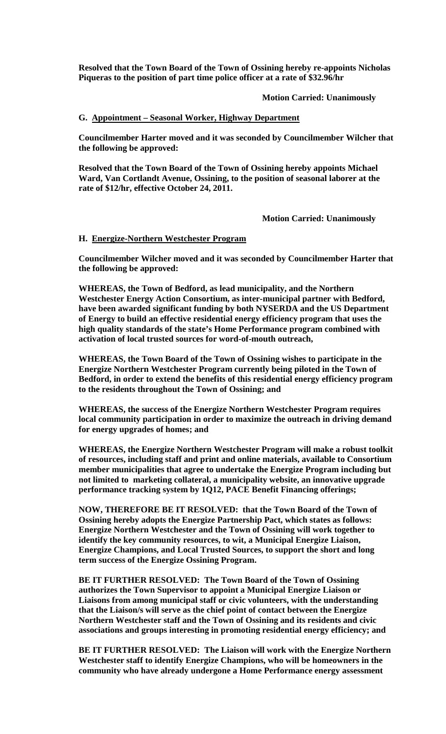**Resolved that the Town Board of the Town of Ossining hereby re-appoints Nicholas Piqueras to the position of part time police officer at a rate of \$32.96/hr** 

**Motion Carried: Unanimously**

## **G. Appointment – Seasonal Worker, Highway Department**

**Councilmember Harter moved and it was seconded by Councilmember Wilcher that the following be approved:**

**Resolved that the Town Board of the Town of Ossining hereby appoints Michael Ward, Van Cortlandt Avenue, Ossining, to the position of seasonal laborer at the rate of \$12/hr, effective October 24, 2011.**

**Motion Carried: Unanimously**

### **H. Energize-Northern Westchester Program**

**Councilmember Wilcher moved and it was seconded by Councilmember Harter that the following be approved:**

**WHEREAS, the Town of Bedford, as lead municipality, and the Northern Westchester Energy Action Consortium, as inter-municipal partner with Bedford, have been awarded significant funding by both NYSERDA and the US Department of Energy to build an effective residential energy efficiency program that uses the high quality standards of the state's Home Performance program combined with activation of local trusted sources for word-of-mouth outreach,** 

**WHEREAS, the Town Board of the Town of Ossining wishes to participate in the Energize Northern Westchester Program currently being piloted in the Town of Bedford, in order to extend the benefits of this residential energy efficiency program to the residents throughout the Town of Ossining; and** 

**WHEREAS, the success of the Energize Northern Westchester Program requires local community participation in order to maximize the outreach in driving demand for energy upgrades of homes; and** 

**WHEREAS, the Energize Northern Westchester Program will make a robust toolkit of resources, including staff and print and online materials, available to Consortium member municipalities that agree to undertake the Energize Program including but not limited to marketing collateral, a municipality website, an innovative upgrade performance tracking system by 1Q12, PACE Benefit Financing offerings;** 

**NOW, THEREFORE BE IT RESOLVED: that the Town Board of the Town of Ossining hereby adopts the Energize Partnership Pact, which states as follows: Energize Northern Westchester and the Town of Ossining will work together to identify the key community resources, to wit, a Municipal Energize Liaison, Energize Champions, and Local Trusted Sources, to support the short and long term success of the Energize Ossining Program.**

**BE IT FURTHER RESOLVED: The Town Board of the Town of Ossining authorizes the Town Supervisor to appoint a Municipal Energize Liaison or Liaisons from among municipal staff or civic volunteers, with the understanding that the Liaison/s will serve as the chief point of contact between the Energize Northern Westchester staff and the Town of Ossining and its residents and civic associations and groups interesting in promoting residential energy efficiency; and** 

**BE IT FURTHER RESOLVED: The Liaison will work with the Energize Northern Westchester staff to identify Energize Champions, who will be homeowners in the community who have already undergone a Home Performance energy assessment**